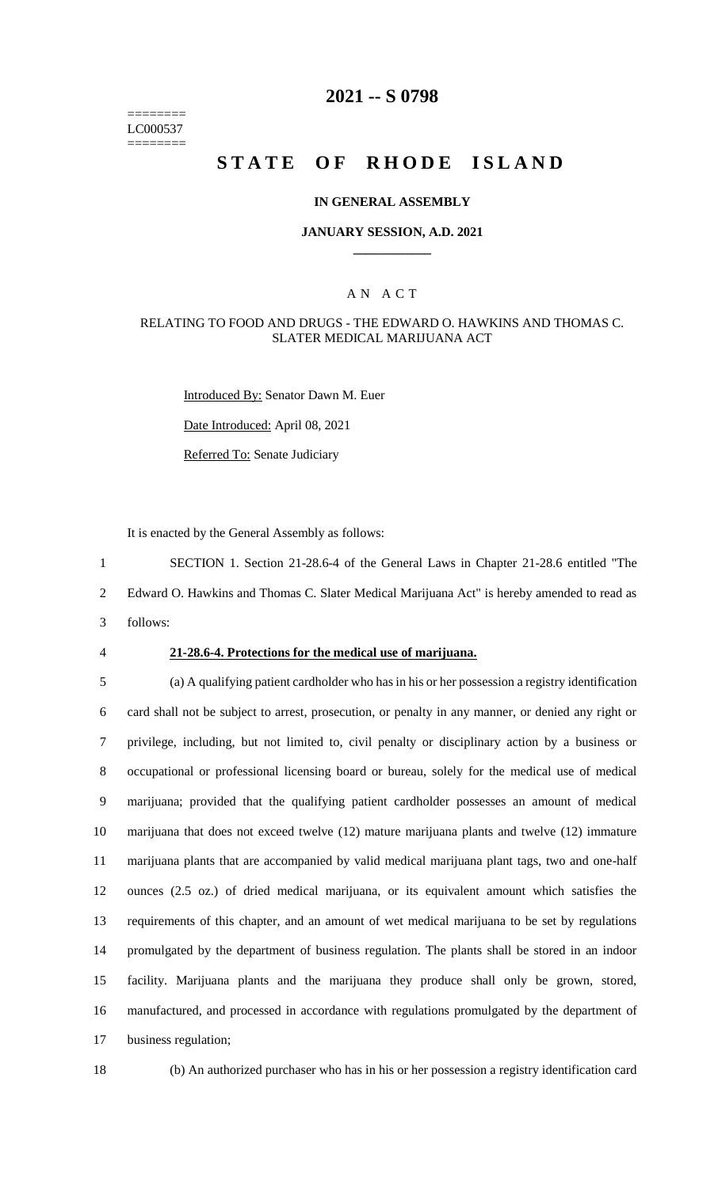======== LC000537 ========

## **2021 -- S 0798**

# **STATE OF RHODE ISLAND**

#### **IN GENERAL ASSEMBLY**

#### **JANUARY SESSION, A.D. 2021 \_\_\_\_\_\_\_\_\_\_\_\_**

#### A N A C T

#### RELATING TO FOOD AND DRUGS - THE EDWARD O. HAWKINS AND THOMAS C. SLATER MEDICAL MARIJUANA ACT

Introduced By: Senator Dawn M. Euer

Date Introduced: April 08, 2021

Referred To: Senate Judiciary

It is enacted by the General Assembly as follows:

1 SECTION 1. Section 21-28.6-4 of the General Laws in Chapter 21-28.6 entitled "The 2 Edward O. Hawkins and Thomas C. Slater Medical Marijuana Act" is hereby amended to read as 3 follows:

#### 4 **21-28.6-4. Protections for the medical use of marijuana.**

 (a) A qualifying patient cardholder who has in his or her possession a registry identification card shall not be subject to arrest, prosecution, or penalty in any manner, or denied any right or privilege, including, but not limited to, civil penalty or disciplinary action by a business or occupational or professional licensing board or bureau, solely for the medical use of medical marijuana; provided that the qualifying patient cardholder possesses an amount of medical marijuana that does not exceed twelve (12) mature marijuana plants and twelve (12) immature marijuana plants that are accompanied by valid medical marijuana plant tags, two and one-half ounces (2.5 oz.) of dried medical marijuana, or its equivalent amount which satisfies the requirements of this chapter, and an amount of wet medical marijuana to be set by regulations promulgated by the department of business regulation. The plants shall be stored in an indoor facility. Marijuana plants and the marijuana they produce shall only be grown, stored, manufactured, and processed in accordance with regulations promulgated by the department of business regulation;

18 (b) An authorized purchaser who has in his or her possession a registry identification card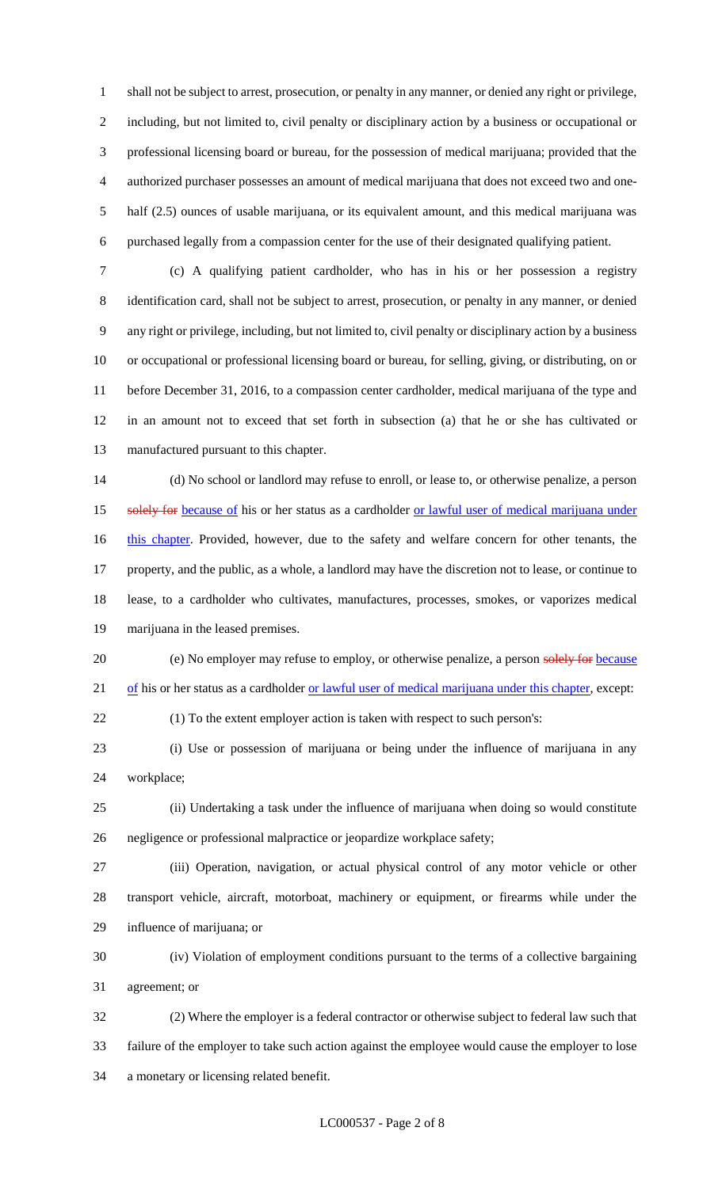shall not be subject to arrest, prosecution, or penalty in any manner, or denied any right or privilege, including, but not limited to, civil penalty or disciplinary action by a business or occupational or professional licensing board or bureau, for the possession of medical marijuana; provided that the authorized purchaser possesses an amount of medical marijuana that does not exceed two and one- half (2.5) ounces of usable marijuana, or its equivalent amount, and this medical marijuana was purchased legally from a compassion center for the use of their designated qualifying patient.

 (c) A qualifying patient cardholder, who has in his or her possession a registry identification card, shall not be subject to arrest, prosecution, or penalty in any manner, or denied any right or privilege, including, but not limited to, civil penalty or disciplinary action by a business or occupational or professional licensing board or bureau, for selling, giving, or distributing, on or before December 31, 2016, to a compassion center cardholder, medical marijuana of the type and in an amount not to exceed that set forth in subsection (a) that he or she has cultivated or manufactured pursuant to this chapter.

 (d) No school or landlord may refuse to enroll, or lease to, or otherwise penalize, a person 15 solely for because of his or her status as a cardholder or lawful user of medical marijuana under 16 this chapter. Provided, however, due to the safety and welfare concern for other tenants, the property, and the public, as a whole, a landlord may have the discretion not to lease, or continue to lease, to a cardholder who cultivates, manufactures, processes, smokes, or vaporizes medical marijuana in the leased premises.

20 (e) No employer may refuse to employ, or otherwise penalize, a person solely for because 21 of his or her status as a cardholder <u>or lawful user of medical marijuana under this chapter</u>, except:

(1) To the extent employer action is taken with respect to such person's:

 (i) Use or possession of marijuana or being under the influence of marijuana in any workplace;

 (ii) Undertaking a task under the influence of marijuana when doing so would constitute negligence or professional malpractice or jeopardize workplace safety;

 (iii) Operation, navigation, or actual physical control of any motor vehicle or other transport vehicle, aircraft, motorboat, machinery or equipment, or firearms while under the influence of marijuana; or

 (iv) Violation of employment conditions pursuant to the terms of a collective bargaining agreement; or

 (2) Where the employer is a federal contractor or otherwise subject to federal law such that failure of the employer to take such action against the employee would cause the employer to lose a monetary or licensing related benefit.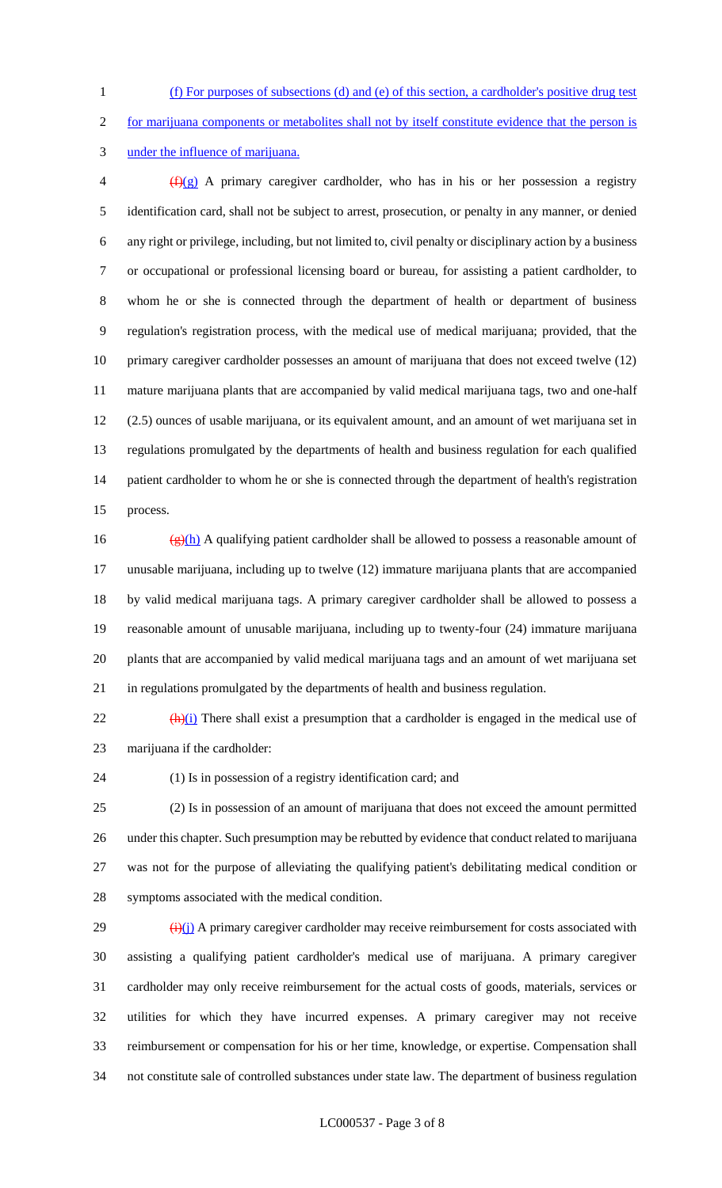(f) For purposes of subsections (d) and (e) of this section, a cardholder's positive drug test

for marijuana components or metabolites shall not by itself constitute evidence that the person is

under the influence of marijuana.

 $\frac{f(x)}{f(x)}$  A primary caregiver cardholder, who has in his or her possession a registry identification card, shall not be subject to arrest, prosecution, or penalty in any manner, or denied any right or privilege, including, but not limited to, civil penalty or disciplinary action by a business or occupational or professional licensing board or bureau, for assisting a patient cardholder, to whom he or she is connected through the department of health or department of business regulation's registration process, with the medical use of medical marijuana; provided, that the primary caregiver cardholder possesses an amount of marijuana that does not exceed twelve (12) mature marijuana plants that are accompanied by valid medical marijuana tags, two and one-half (2.5) ounces of usable marijuana, or its equivalent amount, and an amount of wet marijuana set in regulations promulgated by the departments of health and business regulation for each qualified patient cardholder to whom he or she is connected through the department of health's registration process.

 $\frac{g(h)}{h}$  A qualifying patient cardholder shall be allowed to possess a reasonable amount of unusable marijuana, including up to twelve (12) immature marijuana plants that are accompanied by valid medical marijuana tags. A primary caregiver cardholder shall be allowed to possess a reasonable amount of unusable marijuana, including up to twenty-four (24) immature marijuana plants that are accompanied by valid medical marijuana tags and an amount of wet marijuana set in regulations promulgated by the departments of health and business regulation.

 $\frac{(\mathbf{h})(i)}{(\mathbf{h})(i)}$  There shall exist a presumption that a cardholder is engaged in the medical use of marijuana if the cardholder:

(1) Is in possession of a registry identification card; and

 (2) Is in possession of an amount of marijuana that does not exceed the amount permitted under this chapter. Such presumption may be rebutted by evidence that conduct related to marijuana was not for the purpose of alleviating the qualifying patient's debilitating medical condition or symptoms associated with the medical condition.

 $\frac{(\mathbf{i})(\mathbf{j})}{(\mathbf{i})}$  A primary caregiver cardholder may receive reimbursement for costs associated with assisting a qualifying patient cardholder's medical use of marijuana. A primary caregiver cardholder may only receive reimbursement for the actual costs of goods, materials, services or utilities for which they have incurred expenses. A primary caregiver may not receive reimbursement or compensation for his or her time, knowledge, or expertise. Compensation shall not constitute sale of controlled substances under state law. The department of business regulation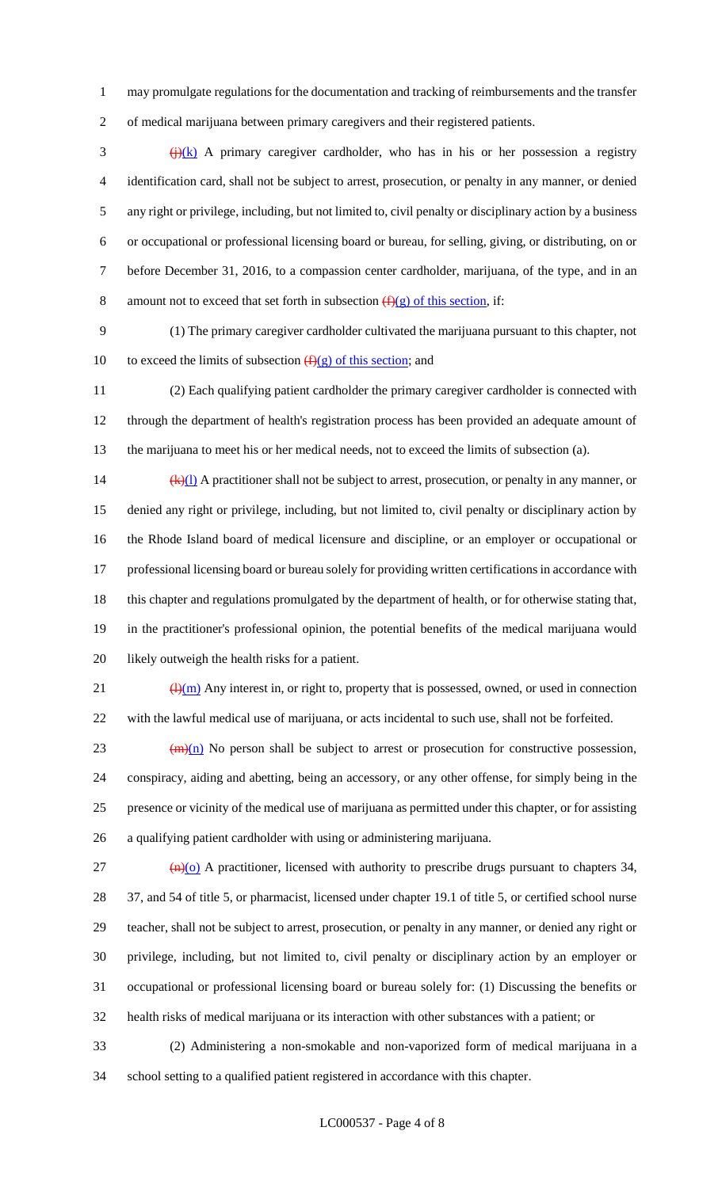may promulgate regulations for the documentation and tracking of reimbursements and the transfer of medical marijuana between primary caregivers and their registered patients.

 $\frac{f(x)}{g(x)}$  A primary caregiver cardholder, who has in his or her possession a registry identification card, shall not be subject to arrest, prosecution, or penalty in any manner, or denied any right or privilege, including, but not limited to, civil penalty or disciplinary action by a business or occupational or professional licensing board or bureau, for selling, giving, or distributing, on or before December 31, 2016, to a compassion center cardholder, marijuana, of the type, and in an 8 amount not to exceed that set forth in subsection  $(f)(g)$  of this section, if:

 (1) The primary caregiver cardholder cultivated the marijuana pursuant to this chapter, not 10 to exceed the limits of subsection  $(f)(g)$  of this section; and

 (2) Each qualifying patient cardholder the primary caregiver cardholder is connected with through the department of health's registration process has been provided an adequate amount of the marijuana to meet his or her medical needs, not to exceed the limits of subsection (a).

14 (k)(1) A practitioner shall not be subject to arrest, prosecution, or penalty in any manner, or denied any right or privilege, including, but not limited to, civil penalty or disciplinary action by the Rhode Island board of medical licensure and discipline, or an employer or occupational or professional licensing board or bureau solely for providing written certifications in accordance with this chapter and regulations promulgated by the department of health, or for otherwise stating that, in the practitioner's professional opinion, the potential benefits of the medical marijuana would likely outweigh the health risks for a patient.

 $\frac{(\mathrm{H})(\mathrm{m})}{(\mathrm{H})(\mathrm{m})}$  Any interest in, or right to, property that is possessed, owned, or used in connection with the lawful medical use of marijuana, or acts incidental to such use, shall not be forfeited.

 (m)(n) No person shall be subject to arrest or prosecution for constructive possession, conspiracy, aiding and abetting, being an accessory, or any other offense, for simply being in the presence or vicinity of the medical use of marijuana as permitted under this chapter, or for assisting a qualifying patient cardholder with using or administering marijuana.

 $\frac{(n)}{o}$  A practitioner, licensed with authority to prescribe drugs pursuant to chapters 34, 37, and 54 of title 5, or pharmacist, licensed under chapter 19.1 of title 5, or certified school nurse teacher, shall not be subject to arrest, prosecution, or penalty in any manner, or denied any right or privilege, including, but not limited to, civil penalty or disciplinary action by an employer or occupational or professional licensing board or bureau solely for: (1) Discussing the benefits or health risks of medical marijuana or its interaction with other substances with a patient; or

 (2) Administering a non-smokable and non-vaporized form of medical marijuana in a school setting to a qualified patient registered in accordance with this chapter.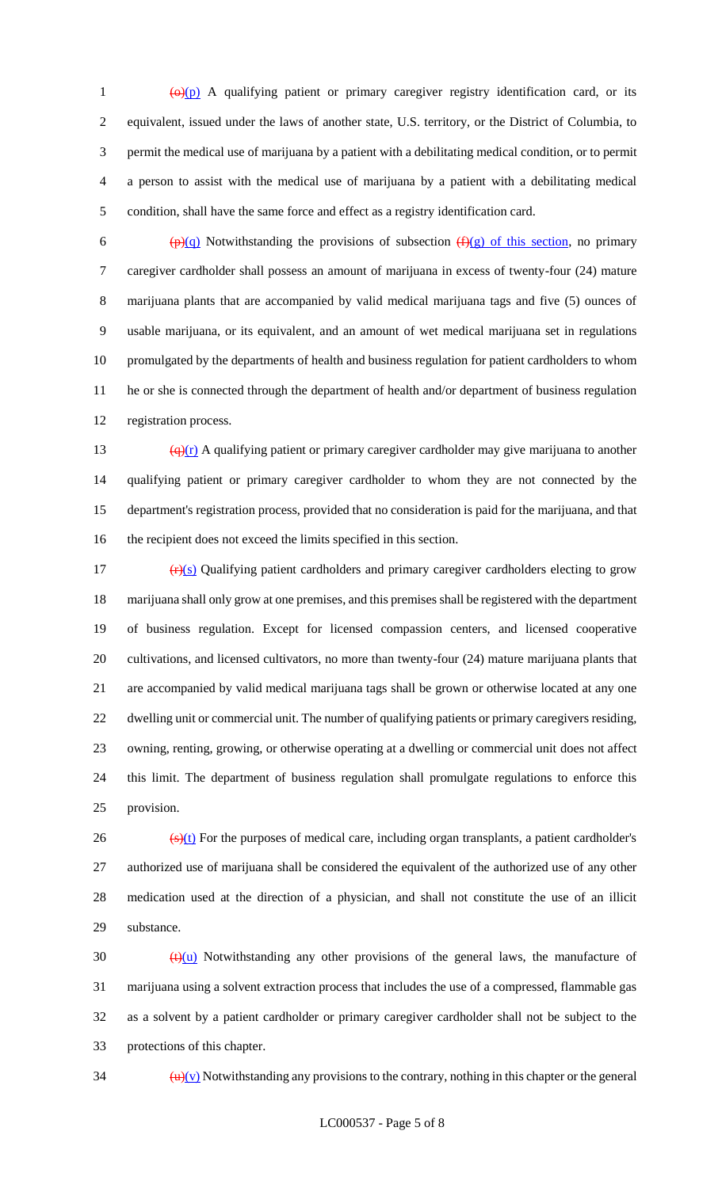$\frac{(\Theta)(p)}{p}$  A qualifying patient or primary caregiver registry identification card, or its equivalent, issued under the laws of another state, U.S. territory, or the District of Columbia, to permit the medical use of marijuana by a patient with a debilitating medical condition, or to permit a person to assist with the medical use of marijuana by a patient with a debilitating medical condition, shall have the same force and effect as a registry identification card.

6 (p)(q) Notwithstanding the provisions of subsection  $(f)(g)$  of this section, no primary caregiver cardholder shall possess an amount of marijuana in excess of twenty-four (24) mature marijuana plants that are accompanied by valid medical marijuana tags and five (5) ounces of usable marijuana, or its equivalent, and an amount of wet medical marijuana set in regulations promulgated by the departments of health and business regulation for patient cardholders to whom he or she is connected through the department of health and/or department of business regulation registration process.

 $\frac{(\mathbf{q})(\mathbf{r})}{(\mathbf{q})(\mathbf{r})}$  A qualifying patient or primary caregiver cardholder may give marijuana to another qualifying patient or primary caregiver cardholder to whom they are not connected by the department's registration process, provided that no consideration is paid for the marijuana, and that the recipient does not exceed the limits specified in this section.

 $(r)(s)$  Qualifying patient cardholders and primary caregiver cardholders electing to grow marijuana shall only grow at one premises, and this premises shall be registered with the department of business regulation. Except for licensed compassion centers, and licensed cooperative cultivations, and licensed cultivators, no more than twenty-four (24) mature marijuana plants that are accompanied by valid medical marijuana tags shall be grown or otherwise located at any one dwelling unit or commercial unit. The number of qualifying patients or primary caregivers residing, owning, renting, growing, or otherwise operating at a dwelling or commercial unit does not affect this limit. The department of business regulation shall promulgate regulations to enforce this provision.

 $\frac{1}{26}$  (s)(t) For the purposes of medical care, including organ transplants, a patient cardholder's authorized use of marijuana shall be considered the equivalent of the authorized use of any other medication used at the direction of a physician, and shall not constitute the use of an illicit substance.

 $\left(\frac{t}{u}\right)$  Notwithstanding any other provisions of the general laws, the manufacture of marijuana using a solvent extraction process that includes the use of a compressed, flammable gas as a solvent by a patient cardholder or primary caregiver cardholder shall not be subject to the protections of this chapter.

 $\frac{d\mathbf{u}}{|\mathbf{v}|}$  Notwithstanding any provisions to the contrary, nothing in this chapter or the general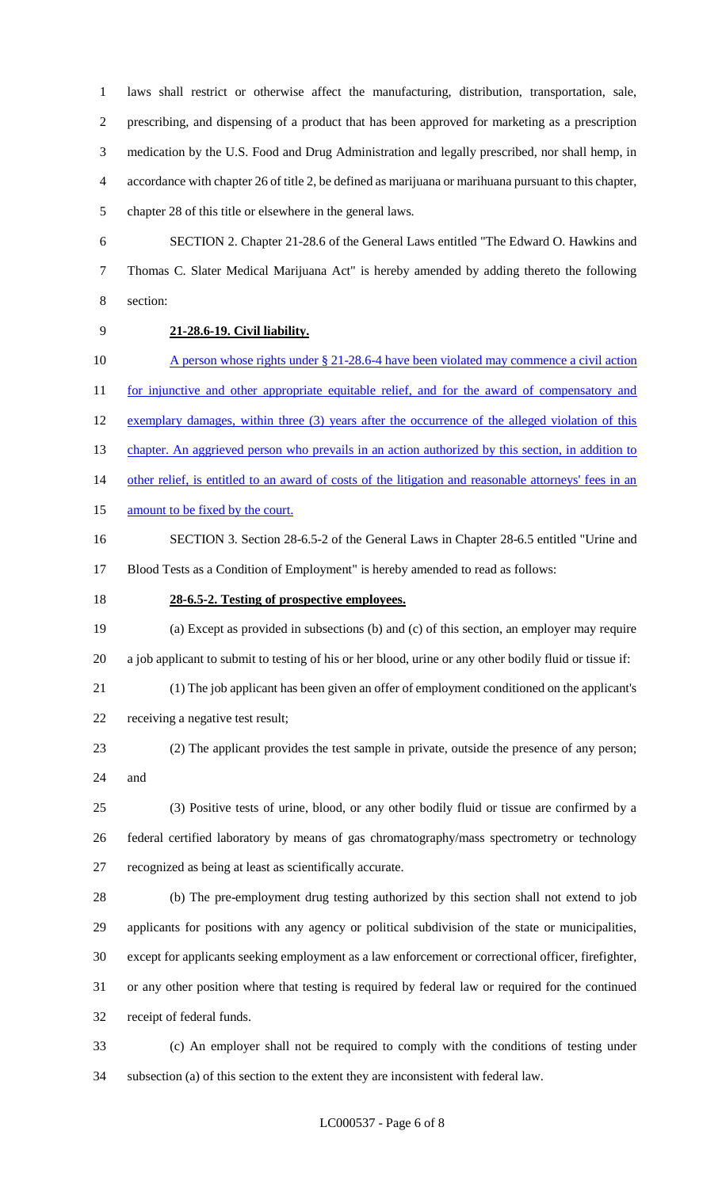laws shall restrict or otherwise affect the manufacturing, distribution, transportation, sale, prescribing, and dispensing of a product that has been approved for marketing as a prescription medication by the U.S. Food and Drug Administration and legally prescribed, nor shall hemp, in accordance with chapter 26 of title 2, be defined as marijuana or marihuana pursuant to this chapter, chapter 28 of this title or elsewhere in the general laws.

 SECTION 2. Chapter 21-28.6 of the General Laws entitled "The Edward O. Hawkins and Thomas C. Slater Medical Marijuana Act" is hereby amended by adding thereto the following section:

## **21-28.6-19. Civil liability.**

10 A person whose rights under § 21-28.6-4 have been violated may commence a civil action 11 for injunctive and other appropriate equitable relief, and for the award of compensatory and 12 exemplary damages, within three (3) years after the occurrence of the alleged violation of this 13 chapter. An aggrieved person who prevails in an action authorized by this section, in addition to other relief, is entitled to an award of costs of the litigation and reasonable attorneys' fees in an 15 amount to be fixed by the court. SECTION 3. Section 28-6.5-2 of the General Laws in Chapter 28-6.5 entitled "Urine and

Blood Tests as a Condition of Employment" is hereby amended to read as follows:

## **28-6.5-2. Testing of prospective employees.**

 (a) Except as provided in subsections (b) and (c) of this section, an employer may require a job applicant to submit to testing of his or her blood, urine or any other bodily fluid or tissue if:

 (1) The job applicant has been given an offer of employment conditioned on the applicant's receiving a negative test result;

 (2) The applicant provides the test sample in private, outside the presence of any person; and

 (3) Positive tests of urine, blood, or any other bodily fluid or tissue are confirmed by a federal certified laboratory by means of gas chromatography/mass spectrometry or technology recognized as being at least as scientifically accurate.

 (b) The pre-employment drug testing authorized by this section shall not extend to job applicants for positions with any agency or political subdivision of the state or municipalities, except for applicants seeking employment as a law enforcement or correctional officer, firefighter, or any other position where that testing is required by federal law or required for the continued receipt of federal funds.

 (c) An employer shall not be required to comply with the conditions of testing under subsection (a) of this section to the extent they are inconsistent with federal law.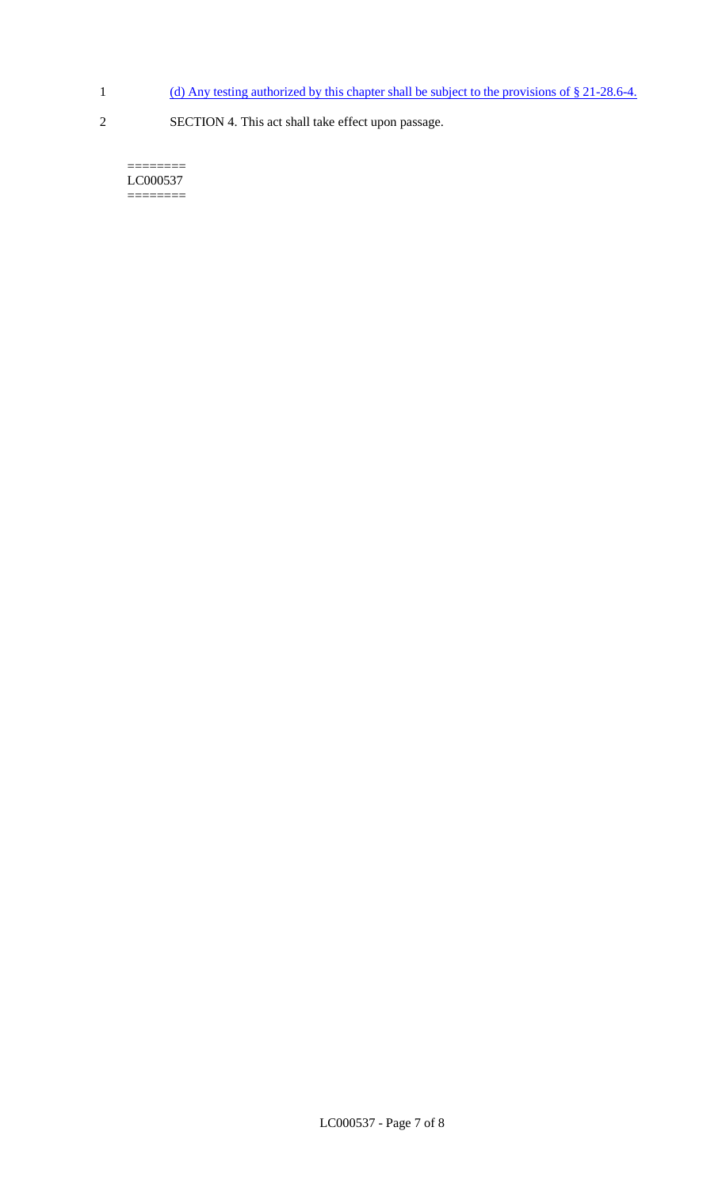- 1 (d) Any testing authorized by this chapter shall be subject to the provisions of § 21-28.6-4.
- 
- 2 SECTION 4. This act shall take effect upon passage.

======== LC000537  $=$